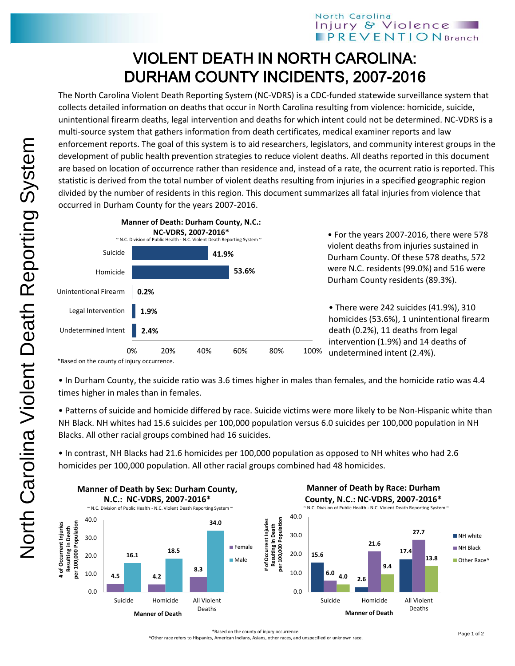## VIOLENT DEATH IN NORTH CAROLINA: DURHAM COUNTY INCIDENTS, 2007-2016

The North Carolina Violent Death Reporting System (NC-VDRS) is a CDC-funded statewide surveillance system that collects detailed information on deaths that occur in North Carolina resulting from violence: homicide, suicide, unintentional firearm deaths, legal intervention and deaths for which intent could not be determined. NC-VDRS is a multi-source system that gathers information from death certificates, medical examiner reports and law enforcement reports. The goal of this system is to aid researchers, legislators, and community interest groups in the development of public health prevention strategies to reduce violent deaths. All deaths reported in this document are based on location of occurrence rather than residence and, instead of a rate, the ocurrent ratio is reported. This statistic is derived from the total number of violent deaths resulting from injuries in a specified geographic region divided by the number of residents in this region. This document summarizes all fatal injuries from violence that occurred in Durham County for the years 2007-2016.



• For the years 2007-2016, there were 578 violent deaths from injuries sustained in Durham County. Of these 578 deaths, 572 were N.C. residents (99.0%) and 516 were Durham County residents (89.3%).

• There were 242 suicides (41.9%), 310 homicides (53.6%), 1 unintentional firearm death (0.2%), 11 deaths from legal intervention (1.9%) and 14 deaths of undetermined intent (2.4%).

• In Durham County, the suicide ratio was 3.6 times higher in males than females, and the homicide ratio was 4.4 times higher in males than in females.

• Patterns of suicide and homicide differed by race. Suicide victims were more likely to be Non-Hispanic white than NH Black. NH whites had 15.6 suicides per 100,000 population versus 6.0 suicides per 100,000 population in NH Blacks. All other racial groups combined had 16 suicides.

• In contrast, NH Blacks had 21.6 homicides per 100,000 population as opposed to NH whites who had 2.6 homicides per 100,000 population. All other racial groups combined had 48 homicides.



\*Based on the county of injury occurrence.

^Other race refers to Hispanics, American Indians, Asians, other races, and unspecified or unknown race.

<sup>\*</sup>Based on the county of injury occurrence.